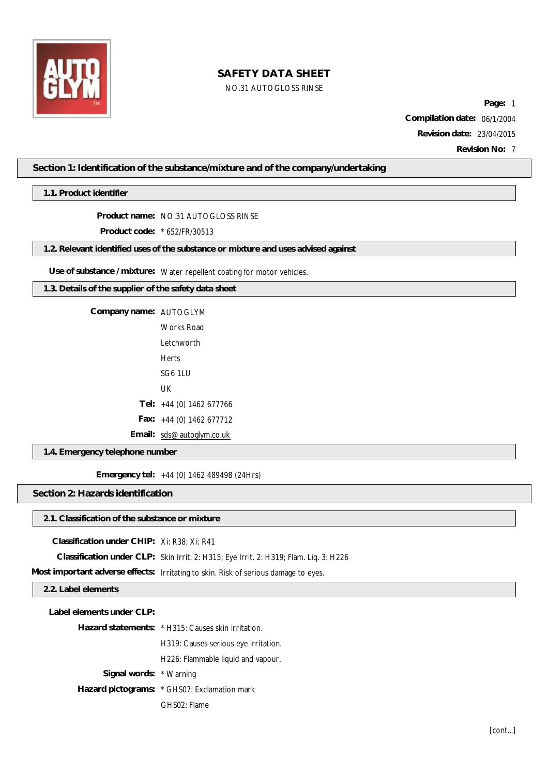

## NO.31 AUTOGLOSS RINSE

**Page:** 1 **Compilation date:** 06/1/2004 **Revision date:** 23/04/2015 **Revision No:** 7

**Section 1: Identification of the substance/mixture and of the company/undertaking**

**1.1. Product identifier**

**Product name:** NO.31 AUTOGLOSS RINSE

**Product code:** \* 652/FR/30513

**1.2. Relevant identified uses of the substance or mixture and uses advised against**

**Use of substance / mixture:** Water repellent coating for motor vehicles.

**1.3. Details of the supplier of the safety data sheet**

**Company name:** AUTOGLYM

Works Road Letchworth Herts SG6 1LU UK **Tel:** +44 (0) 1462 677766 **Fax:** +44 (0) 1462 677712

**Email:** [sds@autoglym.co.uk](mailto:sds@autoglym.co.uk)

**1.4. Emergency telephone number**

**Emergency tel:** +44 (0) 1462 489498 (24Hrs)

**Section 2: Hazards identification**

## **2.1. Classification of the substance or mixture**

**Classification under CHIP:** Xi: R38; Xi: R41

**Classification under CLP:** Skin Irrit. 2: H315; Eye Irrit. 2: H319; Flam. Liq. 3: H226

**Most important adverse effects:** Irritating to skin. Risk of serious damage to eyes.

## **2.2. Label elements**

| Label elements under CLP: |                                                    |
|---------------------------|----------------------------------------------------|
|                           | Hazard statements: * H315: Causes skin irritation. |
|                           | H319: Causes serious eye irritation.               |
|                           | H226: Flammable liquid and vapour.                 |
| Signal words: * Warning   |                                                    |
|                           | Hazard pictograms: * GHS07: Exclamation mark       |
|                           | GHS02: Flame                                       |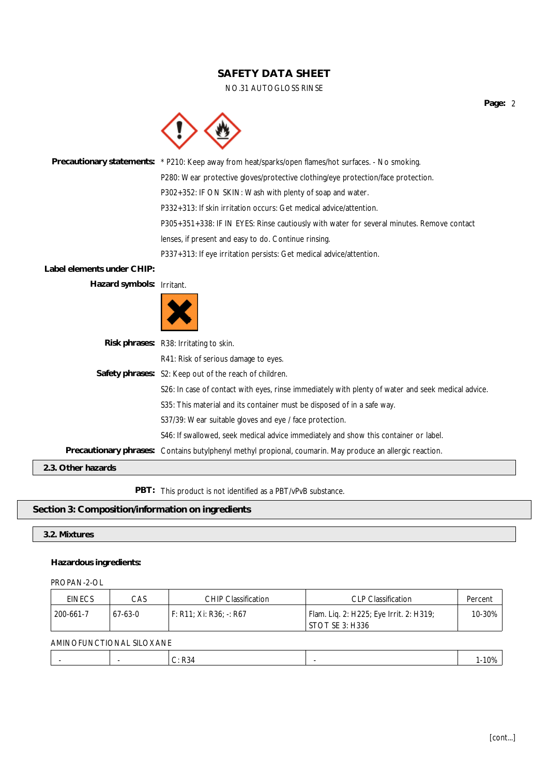#### NO.31 AUTOGLOSS RINSE

**Precautionary statements:** \* P210: Keep away from heat/sparks/open flames/hot surfaces. - No smoking. P280: Wear protective gloves/protective clothing/eye protection/face protection. P302+352: IF ON SKIN: Wash with plenty of soap and water. P332+313: If skin irritation occurs: Get medical advice/attention. P305+351+338: IF IN EYES: Rinse cautiously with water for several minutes. Remove contact lenses, if present and easy to do. Continue rinsing. P337+313: If eye irritation persists: Get medical advice/attention. **Label elements under CHIP: Hazard symbols:** Irritant.



| Risk phrases: R38: Irritating to skin.                                                                    |
|-----------------------------------------------------------------------------------------------------------|
| R41: Risk of serious damage to eyes.                                                                      |
| Safety phrases: S2: Keep out of the reach of children.                                                    |
| S26: In case of contact with eyes, rinse immediately with plenty of water and seek medical advice.        |
| S35: This material and its container must be disposed of in a safe way.                                   |
| S37/39: Wear suitable gloves and eye / face protection.                                                   |
| S46: If swallowed, seek medical advice immediately and show this container or label.                      |
| Precautionary phrases: Contains butylphenyl methyl propional, coumarin. May produce an allergic reaction. |

**2.3. Other hazards**

**PBT:** This product is not identified as a PBT/vPvB substance.

## **Section 3: Composition/information on ingredients**

#### **3.2. Mixtures**

#### **Hazardous ingredients:**

## PROPAN-2-OL

| <b>EINECS</b> | CAS     | <b>CHIP Classification</b>         | <b>CLP Classification</b>               | Percent |
|---------------|---------|------------------------------------|-----------------------------------------|---------|
| 200-661-7     | 67-63-0 | $F: R11: Xi: R36: \rightarrow R67$ | Flam. Lig. 2: H225; Eye Irrit. 2: H319; | 10-30%  |
|               |         |                                    | STOT SE 3: H336                         |         |

#### AMINOFUNCTIONAL SILOXANE

|  |  | ٬∩۵ |
|--|--|-----|
|  |  |     |

**Page:** 2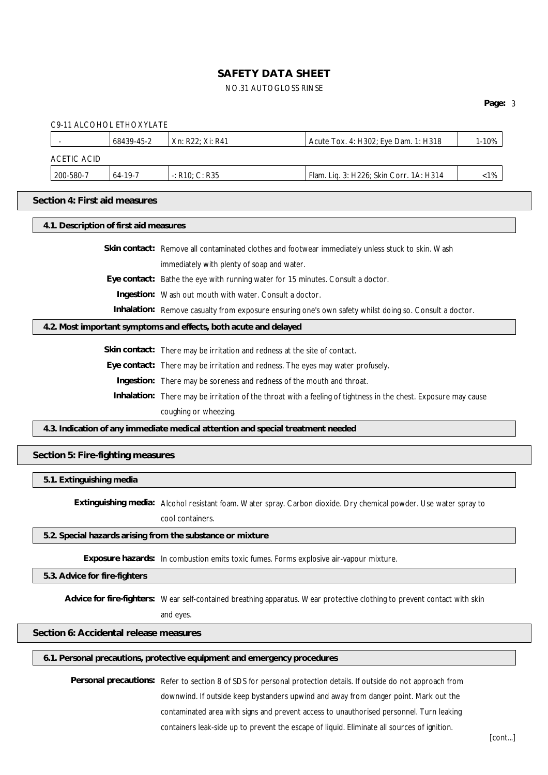## NO.31 AUTOGLOSS RINSE

## **Page:** 3

| C9-11 ALCOHOL ETHOXYLATE               |                                                                                                                          |                                                                                 |                                                                                                                   |         |
|----------------------------------------|--------------------------------------------------------------------------------------------------------------------------|---------------------------------------------------------------------------------|-------------------------------------------------------------------------------------------------------------------|---------|
|                                        | 68439-45-2                                                                                                               | Xn: R22; Xi: R41                                                                | Acute Tox. 4: H302; Eye Dam. 1: H318                                                                              | 1-10%   |
| <b>ACETIC ACID</b>                     |                                                                                                                          |                                                                                 |                                                                                                                   |         |
| 200-580-7                              | 64-19-7                                                                                                                  | $-$ : R10; C: R35                                                               | Flam. Liq. 3: H226; Skin Corr. 1A: H314                                                                           | $< 1\%$ |
| Section 4: First aid measures          |                                                                                                                          |                                                                                 |                                                                                                                   |         |
| 4.1. Description of first aid measures |                                                                                                                          |                                                                                 |                                                                                                                   |         |
|                                        |                                                                                                                          |                                                                                 | Skin contact: Remove all contaminated clothes and footwear immediately unless stuck to skin. Wash                 |         |
|                                        |                                                                                                                          | immediately with plenty of soap and water.                                      |                                                                                                                   |         |
|                                        |                                                                                                                          | Eye contact: Bathe the eye with running water for 15 minutes. Consult a doctor. |                                                                                                                   |         |
|                                        |                                                                                                                          | Ingestion: Wash out mouth with water. Consult a doctor.                         |                                                                                                                   |         |
|                                        |                                                                                                                          |                                                                                 | Inhalation: Remove casualty from exposure ensuring one's own safety whilst doing so. Consult a doctor.            |         |
|                                        |                                                                                                                          | 4.2. Most important symptoms and effects, both acute and delayed                |                                                                                                                   |         |
|                                        |                                                                                                                          | Skin contact: There may be irritation and redness at the site of contact.       |                                                                                                                   |         |
|                                        | Eye contact: There may be irritation and redness. The eyes may water profusely.                                          |                                                                                 |                                                                                                                   |         |
|                                        |                                                                                                                          | Ingestion: There may be soreness and redness of the mouth and throat.           |                                                                                                                   |         |
|                                        | Inhalation: There may be irritation of the throat with a feeling of tightness in the chest. Exposure may cause           |                                                                                 |                                                                                                                   |         |
|                                        | coughing or wheezing.                                                                                                    |                                                                                 |                                                                                                                   |         |
|                                        |                                                                                                                          | 4.3. Indication of any immediate medical attention and special treatment needed |                                                                                                                   |         |
| Section 5: Fire-fighting measures      |                                                                                                                          |                                                                                 |                                                                                                                   |         |
| 5.1. Extinguishing media               |                                                                                                                          |                                                                                 |                                                                                                                   |         |
|                                        |                                                                                                                          |                                                                                 | Extinguishing media: Alcohol resistant foam. Water spray. Carbon dioxide. Dry chemical powder. Use water spray to |         |
|                                        |                                                                                                                          | cool containers.                                                                |                                                                                                                   |         |
|                                        |                                                                                                                          | 5.2. Special hazards arising from the substance or mixture                      |                                                                                                                   |         |
|                                        | Exposure hazards: In combustion emits toxic fumes. Forms explosive air-vapour mixture.                                   |                                                                                 |                                                                                                                   |         |
|                                        | 5.3. Advice for fire-fighters                                                                                            |                                                                                 |                                                                                                                   |         |
|                                        | Advice for fire-fighters: Wear self-contained breathing apparatus. Wear protective clothing to prevent contact with skin |                                                                                 |                                                                                                                   |         |
|                                        | and eyes.                                                                                                                |                                                                                 |                                                                                                                   |         |
| Section 6: Accidental release measures |                                                                                                                          |                                                                                 |                                                                                                                   |         |
|                                        |                                                                                                                          | 6.1. Personal precautions, protective equipment and emergency procedures        |                                                                                                                   |         |
|                                        |                                                                                                                          |                                                                                 | Personal precautions: Refer to section 8 of SDS for personal protection details. If outside do not approach from  |         |
|                                        |                                                                                                                          |                                                                                 | downwind. If outside keep bystanders upwind and away from danger point. Mark out the                              |         |
|                                        |                                                                                                                          |                                                                                 | contaminated area with signs and prevent access to unauthorised personnel. Turn leaking                           |         |

containers leak-side up to prevent the escape of liquid. Eliminate all sources of ignition.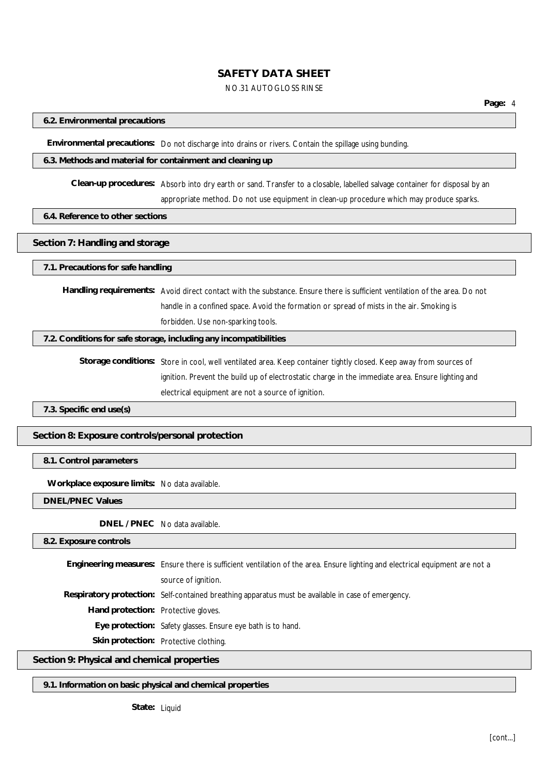#### NO.31 AUTOGLOSS RINSE

#### **6.2. Environmental precautions**

**Environmental precautions:** Do not discharge into drains or rivers. Contain the spillage using bunding.

#### **6.3. Methods and material for containment and cleaning up**

**Clean-up procedures:** Absorb into dry earth or sand. Transfer to a closable, labelled salvage container for disposal by an appropriate method. Do not use equipment in clean-up procedure which may produce sparks.

#### **6.4. Reference to other sections**

#### **Section 7: Handling and storage**

#### **7.1. Precautions for safe handling**

**Handling requirements:** Avoid direct contact with the substance. Ensure there is sufficient ventilation of the area. Do not handle in a confined space. Avoid the formation or spread of mists in the air. Smoking is forbidden. Use non-sparking tools.

## **7.2. Conditions for safe storage, including any incompatibilities**

**Storage conditions:** Store in cool, well ventilated area. Keep container tightly closed. Keep away from sources of ignition. Prevent the build up of electrostatic charge in the immediate area. Ensure lighting and electrical equipment are not a source of ignition.

**7.3. Specific end use(s)**

**Section 8: Exposure controls/personal protection**

#### **8.1. Control parameters**

**Workplace exposure limits:** No data available.

**DNEL/PNEC Values**

**DNEL / PNEC** No data available.

**8.2. Exposure controls**

**Engineering measures:** Ensure there is sufficient ventilation of the area. Ensure lighting and electrical equipment are not a source of ignition. **Respiratory protection:** Self-contained breathing apparatus must be available in case of emergency. **Hand protection:** Protective gloves. **Eye protection:** Safety glasses. Ensure eye bath is to hand. **Skin protection:** Protective clothing. **Section 9: Physical and chemical properties**

**9.1. Information on basic physical and chemical properties**

**State:** Liquid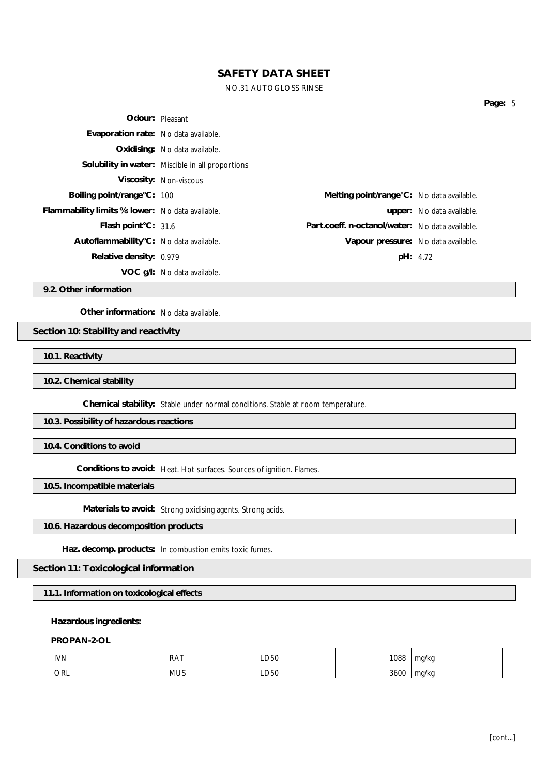### NO.31 AUTOGLOSS RINSE

|                                                  |                                                  |                                                 |                           | Page: 5 |  |
|--------------------------------------------------|--------------------------------------------------|-------------------------------------------------|---------------------------|---------|--|
|                                                  | Odour: Pleasant                                  |                                                 |                           |         |  |
| Evaporation rate: No data available.             |                                                  |                                                 |                           |         |  |
|                                                  | Oxidising: No data available.                    |                                                 |                           |         |  |
|                                                  | Solubility in water: Miscible in all proportions |                                                 |                           |         |  |
|                                                  | Viscosity: Non-viscous                           |                                                 |                           |         |  |
| Boiling point/range°C: 100                       |                                                  | Melting point/range °C: No data available.      |                           |         |  |
| Flammability limits %: lower: No data available. |                                                  |                                                 | upper: No data available. |         |  |
| Flash point°C: 31.6                              |                                                  | Part.coeff. n-octanol/water: No data available. |                           |         |  |
| Autoflammability°C: No data available.           |                                                  | Vapour pressure: No data available.             |                           |         |  |
| Relative density: 0.979                          |                                                  |                                                 | pH: 4.72                  |         |  |
|                                                  | VOC g/l: No data available.                      |                                                 |                           |         |  |

**9.2. Other information**

**Other information:** No data available.

**Section 10: Stability and reactivity**

**10.1. Reactivity**

**10.2. Chemical stability**

**Chemical stability:** Stable under normal conditions. Stable at room temperature.

**10.3. Possibility of hazardous reactions**

**10.4. Conditions to avoid**

**Conditions to avoid:** Heat. Hot surfaces. Sources of ignition. Flames.

**10.5. Incompatible materials**

**Materials to avoid:** Strong oxidising agents. Strong acids.

**10.6. Hazardous decomposition products**

**Haz. decomp. products:** In combustion emits toxic fumes.

**Section 11: Toxicological information**

**11.1. Information on toxicological effects**

**Hazardous ingredients:**

**PROPAN-2-OL**

| <b>IVN</b> | <b>RAT</b> | LD50 | 1088 | ma/ko |
|------------|------------|------|------|-------|
| ORL        | <b>MUS</b> | LD50 | 3600 | ma/ka |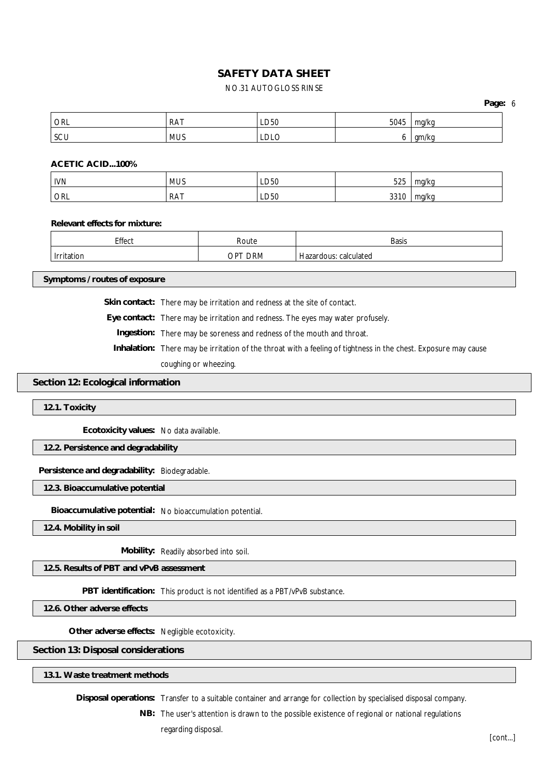## NO.31 AUTOGLOSS RINSE

**Page:** 6

| ORL | DAT<br>$\overline{M}$ | ∟D50      | 5045    | ma/kc       |
|-----|-----------------------|-----------|---------|-------------|
| SCU | <b>MUS</b>            | м<br>レレレー | $\cdot$ | an<br>טרווו |

**ACETIC ACID...100%**

| <b>IVN</b> | <b>MUS</b> | LD50 | 525  | ma/ka        |
|------------|------------|------|------|--------------|
| ' orl      | RAT        | LD50 | 3310 | mg/kg<br>. . |

**Relevant effects for mixture:**

| Effect | Route               | <b>Basis</b>              |
|--------|---------------------|---------------------------|
| IOF    | <b>DRM</b><br>ֿים ∩ | calculated<br>-lazardous: |

**Symptoms / routes of exposure**

**Skin contact:** There may be irritation and redness at the site of contact.

**Eye contact:** There may be irritation and redness. The eyes may water profusely.

**Ingestion:** There may be soreness and redness of the mouth and throat.

**Inhalation:** There may be irritation of the throat with a feeling of tightness in the chest. Exposure may cause coughing or wheezing.

#### **Section 12: Ecological information**

**12.1. Toxicity**

**Ecotoxicity values:** No data available.

**12.2. Persistence and degradability**

**Persistence and degradability:** Biodegradable.

**12.3. Bioaccumulative potential**

**Bioaccumulative potential:** No bioaccumulation potential.

**12.4. Mobility in soil**

**Mobility:** Readily absorbed into soil.

**12.5. Results of PBT and vPvB assessment**

**PBT identification:** This product is not identified as a PBT/vPvB substance.

**12.6. Other adverse effects**

**Other adverse effects:** Negligible ecotoxicity.

**Section 13: Disposal considerations**

**13.1. Waste treatment methods**

**Disposal operations:** Transfer to a suitable container and arrange for collection by specialised disposal company.

**NB:** The user's attention is drawn to the possible existence of regional or national regulations regarding disposal.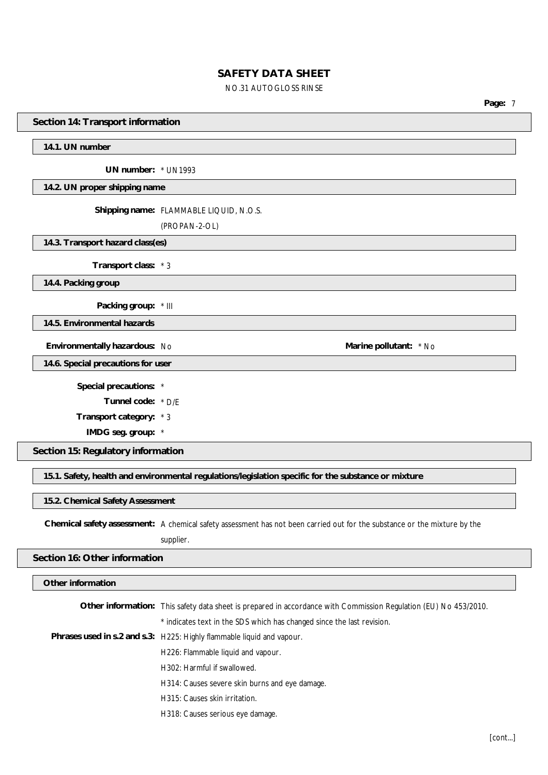#### NO.31 AUTOGLOSS RINSE

**Page:** 7

**Section 14: Transport information**

#### **14.1. UN number**

**UN number:** \* UN1993

**14.2. UN proper shipping name**

**Shipping name:** FLAMMABLE LIQUID, N.O.S.

(PROPAN-2-OL)

**14.3. Transport hazard class(es)**

**Transport class:** \* 3

**14.4. Packing group**

**Packing group:** \* III

**14.5. Environmental hazards**

**Environmentally hazardous:** No **Marine Marine Marine Marine Marine Marine Marine Marine Marine Marine Marine Marine Marine Marine Marine Marine Marine Marine Marine Marine Marine**

**14.6. Special precautions for user**

**Special precautions:** \*

**Tunnel code:** \* D/E

**Transport category:** \* 3

**IMDG seg. group:** \*

**Section 15: Regulatory information**

**15.1. Safety, health and environmental regulations/legislation specific for the substance or mixture**

**15.2. Chemical Safety Assessment**

**Chemical safety assessment:** A chemical safety assessment has not been carried out for the substance or the mixture by the

supplier.

#### **Section 16: Other information**

**Other information**

**Other information:** This safety data sheet is prepared in accordance with Commission Regulation (EU) No 453/2010.

\* indicates text in the SDS which has changed since the last revision.

- **Phrases used in s.2 and s.3:** H225: Highly flammable liquid and vapour.
	- H226: Flammable liquid and vapour.
	- H302: Harmful if swallowed.
	- H314: Causes severe skin burns and eye damage.
	- H315: Causes skin irritation.
	- H318: Causes serious eye damage.